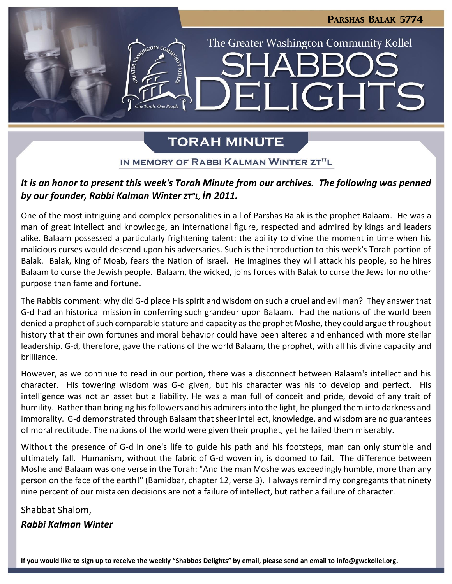**JGHTS** 

The Greater Washington Community Kollel

# **TORAH MINUTE**

 $\blacksquare$ 

### IN MEMORY OF RABBI KALMAN WINTER ZT"L

## *It is an honor to present this week's Torah Minute from our archives. The following was penned by our founder, Rabbi Kalman Winter ZT"L, in 2011.*

One of the most intriguing and complex personalities in all of Parshas Balak is the prophet Balaam. He was a man of great intellect and knowledge, an international figure, respected and admired by kings and leaders alike. Balaam possessed a particularly frightening talent: the ability to divine the moment in time when his malicious curses would descend upon his adversaries. Such is the introduction to this week's Torah portion of Balak. Balak, king of Moab, fears the Nation of Israel. He imagines they will attack his people, so he hires Balaam to curse the Jewish people. Balaam, the wicked, joins forces with Balak to curse the Jews for no other purpose than fame and fortune.

The Rabbis comment: why did G-d place His spirit and wisdom on such a cruel and evil man? They answer that G-d had an historical mission in conferring such grandeur upon Balaam. Had the nations of the world been denied a prophet of such comparable stature and capacity as the prophet Moshe, they could argue throughout history that their own fortunes and moral behavior could have been altered and enhanced with more stellar leadership. G-d, therefore, gave the nations of the world Balaam, the prophet, with all his divine capacity and brilliance.

However, as we continue to read in our portion, there was a disconnect between Balaam's intellect and his character. His towering wisdom was G-d given, but his character was his to develop and perfect. His intelligence was not an asset but a liability. He was a man full of conceit and pride, devoid of any trait of humility. Rather than bringing his followers and his admirers into the light, he plunged them into darkness and immorality. G-d demonstrated through Balaam that sheer intellect, knowledge, and wisdom are no guarantees of moral rectitude. The nations of the world were given their prophet, yet he failed them miserably.

Without the presence of G-d in one's life to guide his path and his footsteps, man can only stumble and ultimately fall. Humanism, without the fabric of G-d woven in, is doomed to fail. The difference between Moshe and Balaam was one verse in the Torah: "And the man Moshe was exceedingly humble, more than any person on the face of the earth!" (Bamidbar, chapter 12, verse 3). I always remind my congregants that ninety nine percent of our mistaken decisions are not a failure of intellect, but rather a failure of character.

Shabbat Shalom, *Rabbi Kalman Winter*

**If you would like to sign up to receive the weekly "Shabbos Delights" by email, please send an email to [info@gwckollel.org.](mailto:info@gwckollel.org)**